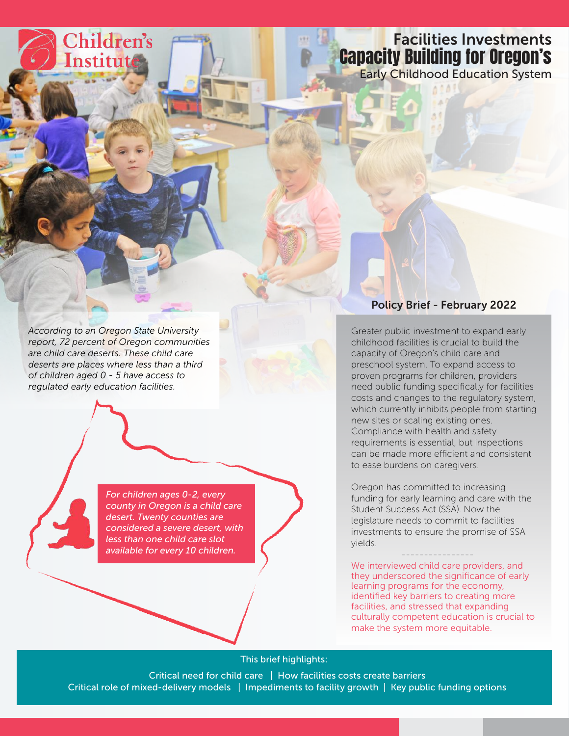# Facilities Investments Capacity Building for Oregon's

Early Childhood Education System

*According to an Oregon State University report, 72 percent of Oregon communities are child care deserts. These child care deserts are places where less than a third of children aged 0 - 5 have access to regulated early education facilities.*

Children's

Institut

*For children ages 0-2, every county in Oregon is a child care desert. Twenty counties are considered a severe desert, with less than one child care slot available for every 10 children.*

# Policy Brief - February 2022

Greater public investment to expand early childhood facilities is crucial to build the capacity of Oregon's child care and preschool system. To expand access to proven programs for children, providers need public funding specifically for facilities costs and changes to the regulatory system, which currently inhibits people from starting new sites or scaling existing ones. Compliance with health and safety requirements is essential, but inspections can be made more efficient and consistent to ease burdens on caregivers.

Oregon has committed to increasing funding for early learning and care with the Student Success Act (SSA). Now the legislature needs to commit to facilities investments to ensure the promise of SSA yields.

We interviewed child care providers, and they underscored the significance of early learning programs for the economy, identified key barriers to creating more facilities, and stressed that expanding culturally competent education is crucial to make the system more equitable.

### This brief highlights:

Critical need for child care | How facilities costs create barriers Critical role of mixed-delivery models | Impediments to facility growth | Key public funding options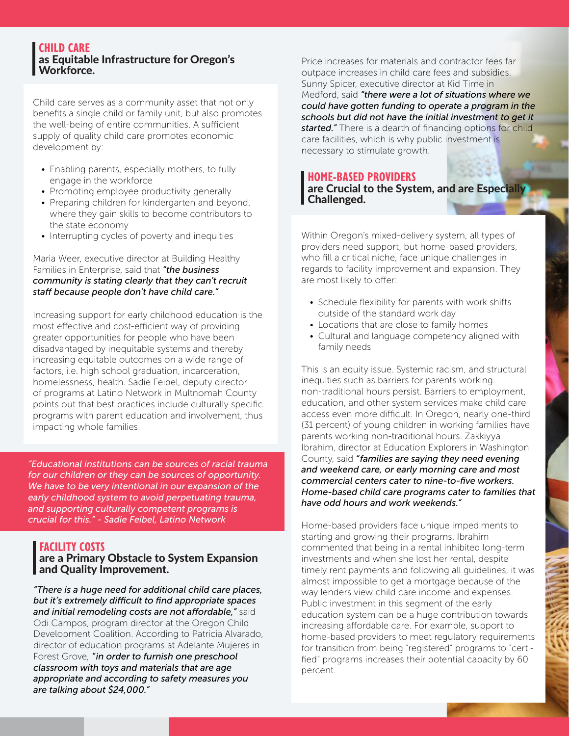#### **CHILD CARE** as Equitable Infrastructure for Oregon's Workforce.

Child care serves as a community asset that not only benefits a single child or family unit, but also promotes the well-being of entire communities. A sufficient supply of quality child care promotes economic development by:

- Enabling parents, especially mothers, to fully engage in the workforce
- Promoting employee productivity generally
- Preparing children for kindergarten and beyond, where they gain skills to become contributors to the state economy
- Interrupting cycles of poverty and inequities

Maria Weer, executive director at Building Healthy Families in Enterprise, said that *"the business community is stating clearly that they can't recruit staff because people don't have child care."*

Increasing support for early childhood education is the most effective and cost-efficient way of providing greater opportunities for people who have been disadvantaged by inequitable systems and thereby increasing equitable outcomes on a wide range of factors, i.e. high school graduation, incarceration, homelessness, health. Sadie Feibel, deputy director of programs at Latino Network in Multnomah County points out that best practices include culturally specific programs with parent education and involvement, thus impacting whole families.

*"Educational institutions can be sources of racial trauma for our children or they can be sources of opportunity. We have to be very intentional in our expansion of the early childhood system to avoid perpetuating trauma, and supporting culturally competent programs is crucial for this." - Sadie Feibel, Latino Network*

# **FACILITY COSTS**

# are a Primary Obstacle to System Expansion and Quality Improvement.

*"There is a huge need for additional child care places, but it's extremely difficult to find appropriate spaces and initial remodeling costs are not affordable,"* said Odi Campos, program director at the Oregon Child Development Coalition. According to Patricia Alvarado, director of education programs at Adelante Mujeres in Forest Grove, *"in order to furnish one preschool classroom with toys and materials that are age appropriate and according to safety measures you are talking about \$24,000."*

Price increases for materials and contractor fees far outpace increases in child care fees and subsidies. Sunny Spicer, executive director at Kid Time in Medford, said *"there were a lot of situations where we could have gotten funding to operate a program in the schools but did not have the initial investment to get it started."* There is a dearth of financing options for child care facilities, which is why public investment is necessary to stimulate growth.

### **HOME-BASED PROVIDERS** are Crucial to the System, and are Especially Challenged.

Within Oregon's mixed-delivery system, all types of providers need support, but home-based providers, who fill a critical niche, face unique challenges in regards to facility improvement and expansion. They are most likely to offer:

- Schedule flexibility for parents with work shifts outside of the standard work day
- Locations that are close to family homes
- Cultural and language competency aligned with family needs

This is an equity issue. Systemic racism, and structural inequities such as barriers for parents working non-traditional hours persist. Barriers to employment, education, and other system services make child care access even more difficult. In Oregon, nearly one-third (31 percent) of young children in working families have parents working non-traditional hours. Zakkiyya Ibrahim, director at Education Explorers in Washington County, said *"families are saying they need evening and weekend care, or early morning care and most commercial centers cater to nine-to-five workers. Home-based child care programs cater to families that have odd hours and work weekends."*

Home-based providers face unique impediments to starting and growing their programs. Ibrahim commented that being in a rental inhibited long-term investments and when she lost her rental, despite timely rent payments and following all guidelines, it was almost impossible to get a mortgage because of the way lenders view child care income and expenses. Public investment in this segment of the early education system can be a huge contribution towards increasing affordable care. For example, support to home-based providers to meet regulatory requirements for transition from being "registered" programs to "certified" programs increases their potential capacity by 60 percent.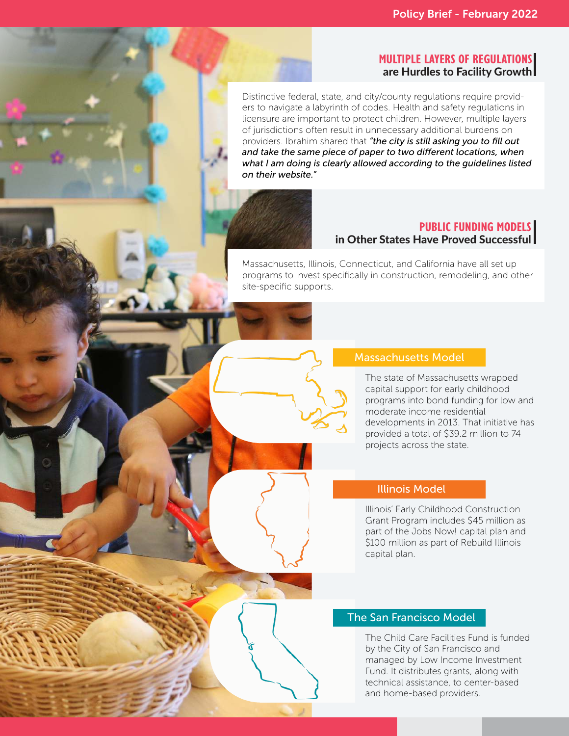### **MULTIPLE LAYERS OF REGULATIONS**  are Hurdles to Facility Growth

Distinctive federal, state, and city/county regulations require providers to navigate a labyrinth of codes. Health and safety regulations in licensure are important to protect children. However, multiple layers of jurisdictions often result in unnecessary additional burdens on providers. Ibrahim shared that *"the city is still asking you to fill out and take the same piece of paper to two different locations, when what I am doing is clearly allowed according to the guidelines listed on their website."*



#### **PUBLIC FUNDING MODELS** in Other States Have Proved Successful

Massachusetts, Illinois, Connecticut, and California have all set up programs to invest specifically in construction, remodeling, and other site-specific supports.

## Massachusetts Model

The state of Massachusetts wrapped capital support for early childhood programs into bond funding for low and moderate income residential developments in 2013. That initiative has provided a total of \$39.2 million to 74 projects across the state.

#### Illinois Model

Illinois' Early Childhood Construction Grant Program includes \$45 million as part of the Jobs Now! capital plan and \$100 million as part of Rebuild Illinois capital plan.

### The San Francisco Model

The Child Care Facilities Fund is funded by the City of San Francisco and managed by Low Income Investment Fund. It distributes grants, along with technical assistance, to center-based and home-based providers.